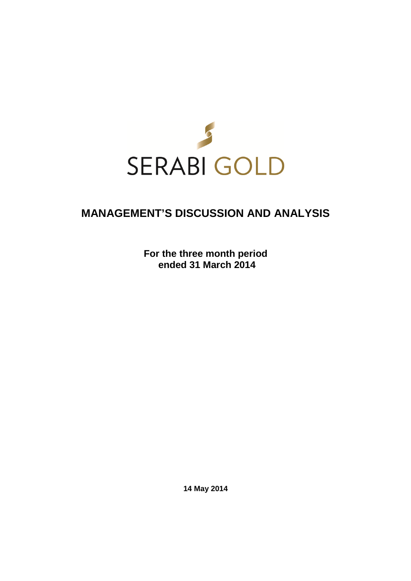

# **MANAGEMENT'S DISCUSSION AND ANALYSIS**

**For the three month period ended 31 March 2014** 

**14 May 2014**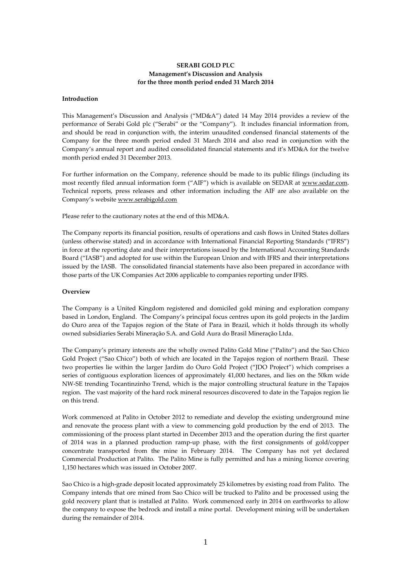## **SERABI GOLD PLC Management's Discussion and Analysis for the three month period ended 31 March 2014**

#### **Introduction**

This Management's Discussion and Analysis ("MD&A") dated 14 May 2014 provides a review of the performance of Serabi Gold plc ("Serabi" or the "Company"). It includes financial information from, and should be read in conjunction with, the interim unaudited condensed financial statements of the Company for the three month period ended 31 March 2014 and also read in conjunction with the Company's annual report and audited consolidated financial statements and it's MD&A for the twelve month period ended 31 December 2013.

For further information on the Company, reference should be made to its public filings (including its most recently filed annual information form ("AIF") which is available on SEDAR at www.sedar.com. Technical reports, press releases and other information including the AIF are also available on the Company's website www.serabigold.com

Please refer to the cautionary notes at the end of this MD&A.

The Company reports its financial position, results of operations and cash flows in United States dollars (unless otherwise stated) and in accordance with International Financial Reporting Standards ("IFRS") in force at the reporting date and their interpretations issued by the International Accounting Standards Board ("IASB") and adopted for use within the European Union and with IFRS and their interpretations issued by the IASB. The consolidated financial statements have also been prepared in accordance with those parts of the UK Companies Act 2006 applicable to companies reporting under IFRS.

#### **Overview**

The Company is a United Kingdom registered and domiciled gold mining and exploration company based in London, England. The Company's principal focus centres upon its gold projects in the Jardim do Ouro area of the Tapajos region of the State of Para in Brazil, which it holds through its wholly owned subsidiaries Serabi Mineraçăo S.A. and Gold Aura do Brasil Mineraçăo Ltda.

The Company's primary interests are the wholly owned Palito Gold Mine ("Palito") and the Sao Chico Gold Project ("Sao Chico") both of which are located in the Tapajos region of northern Brazil. These two properties lie within the larger Jardim do Ouro Gold Project ("JDO Project") which comprises a series of contiguous exploration licences of approximately 41,000 hectares, and lies on the 50km wide NW-SE trending Tocantinzinho Trend, which is the major controlling structural feature in the Tapajos region. The vast majority of the hard rock mineral resources discovered to date in the Tapajos region lie on this trend.

Work commenced at Palito in October 2012 to remediate and develop the existing underground mine and renovate the process plant with a view to commencing gold production by the end of 2013. The commissioning of the process plant started in December 2013 and the operation during the first quarter of 2014 was in a planned production ramp-up phase, with the first consignments of gold/copper concentrate transported from the mine in February 2014. The Company has not yet declared Commercial Production at Palito. The Palito Mine is fully permitted and has a mining licence covering 1,150 hectares which was issued in October 2007.

Sao Chico is a high-grade deposit located approximately 25 kilometres by existing road from Palito. The Company intends that ore mined from Sao Chico will be trucked to Palito and be processed using the gold recovery plant that is installed at Palito. Work commenced early in 2014 on earthworks to allow the company to expose the bedrock and install a mine portal. Development mining will be undertaken during the remainder of 2014.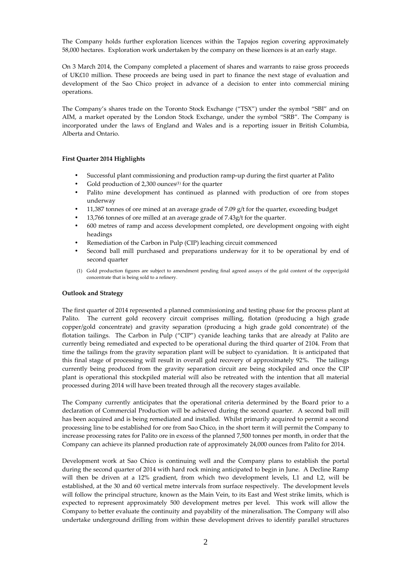The Company holds further exploration licences within the Tapajos region covering approximately 58,000 hectares. Exploration work undertaken by the company on these licences is at an early stage.

On 3 March 2014, the Company completed a placement of shares and warrants to raise gross proceeds of UK£10 million. These proceeds are being used in part to finance the next stage of evaluation and development of the Sao Chico project in advance of a decision to enter into commercial mining operations.

The Company's shares trade on the Toronto Stock Exchange ("TSX") under the symbol "SBI" and on AIM, a market operated by the London Stock Exchange, under the symbol "SRB". The Company is incorporated under the laws of England and Wales and is a reporting issuer in British Columbia, Alberta and Ontario.

#### **First Quarter 2014 Highlights**

- Successful plant commissioning and production ramp-up during the first quarter at Palito
- Gold production of 2,300 ounces $(1)$  for the quarter
- Palito mine development has continued as planned with production of ore from stopes underway
- 11,387 tonnes of ore mined at an average grade of 7.09  $g/t$  for the quarter, exceeding budget
- 13,766 tonnes of ore milled at an average grade of 7.43g/t for the quarter.
- 600 metres of ramp and access development completed, ore development ongoing with eight headings
- Remediation of the Carbon in Pulp (CIP) leaching circuit commenced
- Second ball mill purchased and preparations underway for it to be operational by end of second quarter
- (1) Gold production figures are subject to amendment pending final agreed assays of the gold content of the copper/gold concentrate that is being sold to a refinery.

#### **Outlook and Strategy**

The first quarter of 2014 represented a planned commissioning and testing phase for the process plant at Palito. The current gold recovery circuit comprises milling, flotation (producing a high grade copper/gold concentrate) and gravity separation (producing a high grade gold concentrate) of the flotation tailings. The Carbon in Pulp ("CIP") cyanide leaching tanks that are already at Palito are currently being remediated and expected to be operational during the third quarter of 2104. From that time the tailings from the gravity separation plant will be subject to cyanidation. It is anticipated that this final stage of processing will result in overall gold recovery of approximately 92%. The tailings currently being produced from the gravity separation circuit are being stockpiled and once the CIP plant is operational this stockpiled material will also be retreated with the intention that all material processed during 2014 will have been treated through all the recovery stages available.

The Company currently anticipates that the operational criteria determined by the Board prior to a declaration of Commercial Production will be achieved during the second quarter. A second ball mill has been acquired and is being remediated and installed. Whilst primarily acquired to permit a second processing line to be established for ore from Sao Chico, in the short term it will permit the Company to increase processing rates for Palito ore in excess of the planned 7,500 tonnes per month, in order that the Company can achieve its planned production rate of approximately 24,000 ounces from Palito for 2014.

Development work at Sao Chico is continuing well and the Company plans to establish the portal during the second quarter of 2014 with hard rock mining anticipated to begin in June. A Decline Ramp will then be driven at a 12% gradient, from which two development levels, L1 and L2, will be established, at the 30 and 60 vertical metre intervals from surface respectively. The development levels will follow the principal structure, known as the Main Vein, to its East and West strike limits, which is expected to represent approximately 500 development metres per level. This work will allow the Company to better evaluate the continuity and payability of the mineralisation. The Company will also undertake underground drilling from within these development drives to identify parallel structures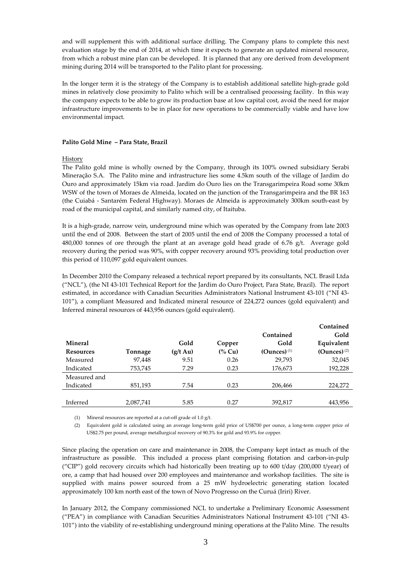and will supplement this with additional surface drilling. The Company plans to complete this next evaluation stage by the end of 2014, at which time it expects to generate an updated mineral resource, from which a robust mine plan can be developed. It is planned that any ore derived from development mining during 2014 will be transported to the Palito plant for processing.

In the longer term it is the strategy of the Company is to establish additional satellite high-grade gold mines in relatively close proximity to Palito which will be a centralised processing facility. In this way the company expects to be able to grow its production base at low capital cost, avoid the need for major infrastructure improvements to be in place for new operations to be commercially viable and have low environmental impact.

#### **Palito Gold Mine – Para State, Brazil**

## History

The Palito gold mine is wholly owned by the Company, through its 100% owned subsidiary Serabi Mineraçăo S.A. The Palito mine and infrastructure lies some 4.5km south of the village of Jardim do Ouro and approximately 15km via road. Jardim do Ouro lies on the Transgarimpeira Road some 30km WSW of the town of Moraes de Almeida, located on the junction of the Transgarimpeira and the BR 163 (the Cuiabá - Santarém Federal Highway). Moraes de Almeida is approximately 300km south-east by road of the municipal capital, and similarly named city, of Itaituba.

It is a high-grade, narrow vein, underground mine which was operated by the Company from late 2003 until the end of 2008. Between the start of 2005 until the end of 2008 the Company processed a total of 480,000 tonnes of ore through the plant at an average gold head grade of  $6.76$  g/t. Average gold recovery during the period was 90%, with copper recovery around 93% providing total production over this period of 110,097 gold equivalent ounces.

In December 2010 the Company released a technical report prepared by its consultants, NCL Brasil Ltda ("NCL"), (the NI 43-101 Technical Report for the Jardim do Ouro Project, Para State, Brazil). The report estimated, in accordance with Canadian Securities Administrators National Instrument 43-101 ("NI 43- 101"), a compliant Measured and Indicated mineral resource of 224,272 ounces (gold equivalent) and Inferred mineral resources of 443,956 ounces (gold equivalent).

|                  |           |                    |                  |                           | Contained      |
|------------------|-----------|--------------------|------------------|---------------------------|----------------|
|                  |           |                    |                  | Contained                 | Gold           |
| <b>Mineral</b>   |           | Gold               | Copper           | Gold                      | Equivalent     |
| <b>Resources</b> | Tonnage   | $(g/t \text{ Au})$ | $\frac{6}{6}$ Cu | $(Qunces)$ <sup>(1)</sup> | $(Qunces)$ (2) |
| Measured         | 97,448    | 9.51               | 0.26             | 29.793                    | 32,045         |
| Indicated        | 753,745   | 7.29               | 0.23             | 176,673                   | 192,228        |
| Measured and     |           |                    |                  |                           |                |
| Indicated        | 851,193   | 7.54               | 0.23             | 206,466                   | 224,272        |
|                  |           |                    |                  |                           |                |
| Inferred         | 2,087,741 | 5.85               | 0.27             | 392,817                   | 443,956        |
|                  |           |                    |                  |                           |                |

(1) Mineral resources are reported at a cut-off grade of 1.0 g/t.

(2) Equivalent gold is calculated using an average long-term gold price of US\$700 per ounce, a long-term copper price of US\$2.75 per pound, average metallurgical recovery of 90.3% for gold and 93.9% for copper.

Since placing the operation on care and maintenance in 2008, the Company kept intact as much of the infrastructure as possible. This included a process plant comprising flotation and carbon-in-pulp ("CIP") gold recovery circuits which had historically been treating up to 600 t/day (200,000 t/year) of ore, a camp that had housed over 200 employees and maintenance and workshop facilities. The site is supplied with mains power sourced from a 25 mW hydroelectric generating station located approximately 100 km north east of the town of Novo Progresso on the Curuá (Iriri) River.

In January 2012, the Company commissioned NCL to undertake a Preliminary Economic Assessment ("PEA") in compliance with Canadian Securities Administrators National Instrument 43-101 ("NI 43- 101") into the viability of re-establishing underground mining operations at the Palito Mine. The results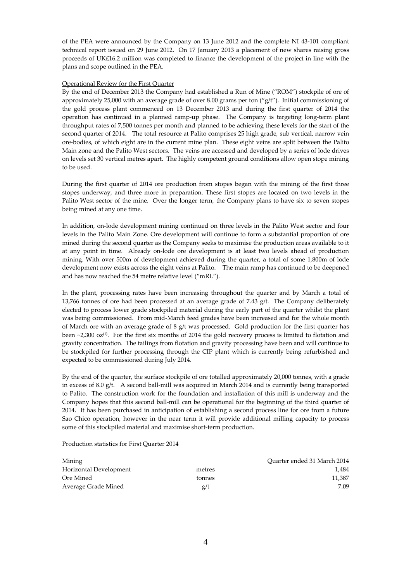of the PEA were announced by the Company on 13 June 2012 and the complete NI 43-101 compliant technical report issued on 29 June 2012. On 17 January 2013 a placement of new shares raising gross proceeds of UK£16.2 million was completed to finance the development of the project in line with the plans and scope outlined in the PEA.

## Operational Review for the First Quarter

By the end of December 2013 the Company had established a Run of Mine ("ROM") stockpile of ore of approximately 25,000 with an average grade of over 8.00 grams per ton  $({}^{\prime\prime}g/t^{\prime\prime})$ . Initial commissioning of the gold process plant commenced on 13 December 2013 and during the first quarter of 2014 the operation has continued in a planned ramp-up phase. The Company is targeting long-term plant throughput rates of 7,500 tonnes per month and planned to be achieving these levels for the start of the second quarter of 2014. The total resource at Palito comprises 25 high grade, sub vertical, narrow vein ore-bodies, of which eight are in the current mine plan. These eight veins are split between the Palito Main zone and the Palito West sectors. The veins are accessed and developed by a series of lode drives on levels set 30 vertical metres apart. The highly competent ground conditions allow open stope mining to be used.

During the first quarter of 2014 ore production from stopes began with the mining of the first three stopes underway, and three more in preparation. These first stopes are located on two levels in the Palito West sector of the mine. Over the longer term, the Company plans to have six to seven stopes being mined at any one time.

In addition, on-lode development mining continued on three levels in the Palito West sector and four levels in the Palito Main Zone. Ore development will continue to form a substantial proportion of ore mined during the second quarter as the Company seeks to maximise the production areas available to it at any point in time. Already on-lode ore development is at least two levels ahead of production mining. With over 500m of development achieved during the quarter, a total of some 1,800m of lode development now exists across the eight veins at Palito. The main ramp has continued to be deepened and has now reached the 54 metre relative level ("mRL").

In the plant, processing rates have been increasing throughout the quarter and by March a total of 13,766 tonnes of ore had been processed at an average grade of 7.43 g/t. The Company deliberately elected to process lower grade stockpiled material during the early part of the quarter whilst the plant was being commissioned. From mid-March feed grades have been increased and for the whole month of March ore with an average grade of 8 g/t was processed. Gold production for the first quarter has been  $\sim$ 2,300 oz<sup>(1)</sup>. For the first six months of 2014 the gold recovery process is limited to flotation and gravity concentration. The tailings from flotation and gravity processing have been and will continue to be stockpiled for further processing through the CIP plant which is currently being refurbished and expected to be commissioned during July 2014.

By the end of the quarter, the surface stockpile of ore totalled approximately 20,000 tonnes, with a grade in excess of 8.0 g/t. A second ball-mill was acquired in March 2014 and is currently being transported to Palito. The construction work for the foundation and installation of this mill is underway and the Company hopes that this second ball-mill can be operational for the beginning of the third quarter of 2014. It has been purchased in anticipation of establishing a second process line for ore from a future Sao Chico operation, however in the near term it will provide additional milling capacity to process some of this stockpiled material and maximise short-term production.

Mining Quarter ended 31 March 2014 Horizontal Development metres 1,484 Ore Mined the conness of the conness of the connection of the connection of the connection of  $11,387$ Average Grade Mined 5.09

Production statistics for First Quarter 2014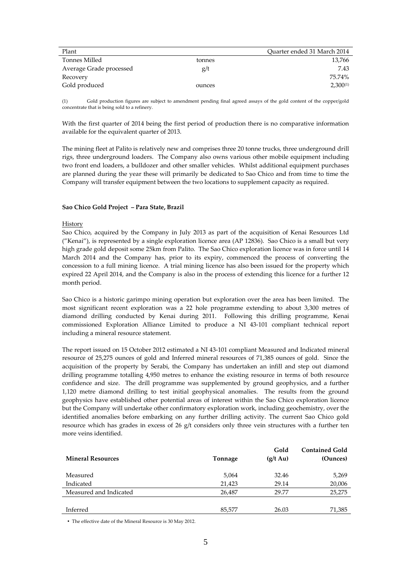| Plant                   |        | Quarter ended 31 March 2014 |
|-------------------------|--------|-----------------------------|
| Tonnes Milled           | tonnes | 13,766                      |
| Average Grade processed | g/t    | 7.43                        |
| Recovery                |        | 75.74%                      |
| Gold produced           | ounces | $2,300^{(1)}$               |

(1) Gold production figures are subject to amendment pending final agreed assays of the gold content of the copper/gold concentrate that is being sold to a refinery.

With the first quarter of 2014 being the first period of production there is no comparative information available for the equivalent quarter of 2013.

The mining fleet at Palito is relatively new and comprises three 20 tonne trucks, three underground drill rigs, three underground loaders. The Company also owns various other mobile equipment including two front end loaders, a bulldozer and other smaller vehicles. Whilst additional equipment purchases are planned during the year these will primarily be dedicated to Sao Chico and from time to time the Company will transfer equipment between the two locations to supplement capacity as required.

#### **Sao Chico Gold Project – Para State, Brazil**

## History

Sao Chico, acquired by the Company in July 2013 as part of the acquisition of Kenai Resources Ltd ("Kenai"), is represented by a single exploration licence area (AP 12836). Sao Chico is a small but very high grade gold deposit some 25km from Palito. The Sao Chico exploration licence was in force until 14 March 2014 and the Company has, prior to its expiry, commenced the process of converting the concession to a full mining licence. A trial mining licence has also been issued for the property which expired 22 April 2014, and the Company is also in the process of extending this licence for a further 12 month period.

Sao Chico is a historic garimpo mining operation but exploration over the area has been limited. The most significant recent exploration was a 22 hole programme extending to about 3,300 metres of diamond drilling conducted by Kenai during 2011. Following this drilling programme, Kenai commissioned Exploration Alliance Limited to produce a NI 43-101 compliant technical report including a mineral resource statement.

The report issued on 15 October 2012 estimated a NI 43-101 compliant Measured and Indicated mineral resource of 25,275 ounces of gold and Inferred mineral resources of 71,385 ounces of gold. Since the acquisition of the property by Serabi, the Company has undertaken an infill and step out diamond drilling programme totalling 4,950 metres to enhance the existing resource in terms of both resource confidence and size. The drill programme was supplemented by ground geophysics, and a further 1,120 metre diamond drilling to test initial geophysical anomalies. The results from the ground geophysics have established other potential areas of interest within the Sao Chico exploration licence but the Company will undertake other confirmatory exploration work, including geochemistry, over the identified anomalies before embarking on any further drilling activity. The current Sao Chico gold resource which has grades in excess of 26 g/t considers only three vein structures with a further ten more veins identified.

| <b>Mineral Resources</b> | Tonnage | Gold<br>$(g/t \text{ Au})$ | <b>Contained Gold</b><br>(Ounces) |
|--------------------------|---------|----------------------------|-----------------------------------|
| Measured                 | 5,064   | 32.46                      | 5,269                             |
| Indicated                | 21,423  | 29.14                      | 20,006                            |
| Measured and Indicated   | 26,487  | 29.77                      | 25,275                            |
|                          |         |                            |                                   |
| Inferred                 | 85,577  | 26.03                      | 71,385                            |

• The effective date of the Mineral Resource is 30 May 2012.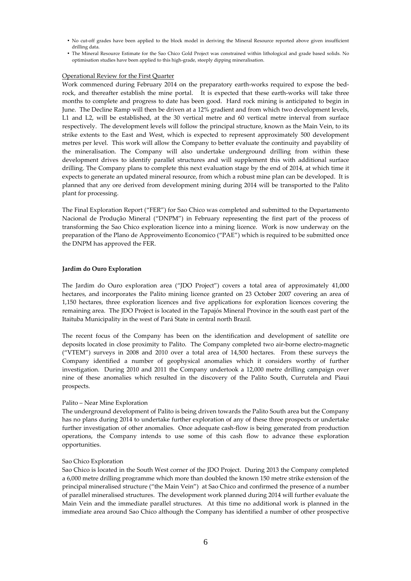- No cut-off grades have been applied to the block model in deriving the Mineral Resource reported above given insufficient drilling data.
- The Mineral Resource Estimate for the Sao Chico Gold Project was constrained within lithological and grade based solids. No optimisation studies have been applied to this high-grade, steeply dipping mineralisation.

#### Operational Review for the First Quarter

Work commenced during February 2014 on the preparatory earth-works required to expose the bedrock, and thereafter establish the mine portal. It is expected that these earth-works will take three months to complete and progress to date has been good. Hard rock mining is anticipated to begin in June. The Decline Ramp will then be driven at a 12% gradient and from which two development levels, L1 and L2, will be established, at the 30 vertical metre and 60 vertical metre interval from surface respectively. The development levels will follow the principal structure, known as the Main Vein, to its strike extents to the East and West, which is expected to represent approximately 500 development metres per level. This work will allow the Company to better evaluate the continuity and payability of the mineralisation. The Company will also undertake underground drilling from within these development drives to identify parallel structures and will supplement this with additional surface drilling. The Company plans to complete this next evaluation stage by the end of 2014, at which time it expects to generate an updated mineral resource, from which a robust mine plan can be developed. It is planned that any ore derived from development mining during 2014 will be transported to the Palito plant for processing.

The Final Exploration Report ("FER") for Sao Chico was completed and submitted to the Departamento Nacional de Produção Mineral ("DNPM") in February representing the first part of the process of transforming the Sao Chico exploration licence into a mining licence. Work is now underway on the preparation of the Plano de Approveimento Economico ("PAE") which is required to be submitted once the DNPM has approved the FER.

#### **Jardim do Ouro Exploration**

The Jardim do Ouro exploration area ("JDO Project") covers a total area of approximately 41,000 hectares, and incorporates the Palito mining licence granted on 23 October 2007 covering an area of 1,150 hectares, three exploration licences and five applications for exploration licences covering the remaining area. The JDO Project is located in the Tapajós Mineral Province in the south east part of the Itaituba Municipality in the west of Pará State in central north Brazil.

The recent focus of the Company has been on the identification and development of satellite ore deposits located in close proximity to Palito. The Company completed two air-borne electro-magnetic ("VTEM") surveys in 2008 and 2010 over a total area of 14,500 hectares. From these surveys the Company identified a number of geophysical anomalies which it considers worthy of further investigation. During 2010 and 2011 the Company undertook a 12,000 metre drilling campaign over nine of these anomalies which resulted in the discovery of the Palito South, Currutela and Piaui prospects.

#### Palito – Near Mine Exploration

The underground development of Palito is being driven towards the Palito South area but the Company has no plans during 2014 to undertake further exploration of any of these three prospects or undertake further investigation of other anomalies. Once adequate cash-flow is being generated from production operations, the Company intends to use some of this cash flow to advance these exploration opportunities.

#### Sao Chico Exploration

Sao Chico is located in the South West corner of the JDO Project. During 2013 the Company completed a 6,000 metre drilling programme which more than doubled the known 150 metre strike extension of the principal mineralised structure ("the Main Vein") at Sao Chico and confirmed the presence of a number of parallel mineralised structures. The development work planned during 2014 will further evaluate the Main Vein and the immediate parallel structures. At this time no additional work is planned in the immediate area around Sao Chico although the Company has identified a number of other prospective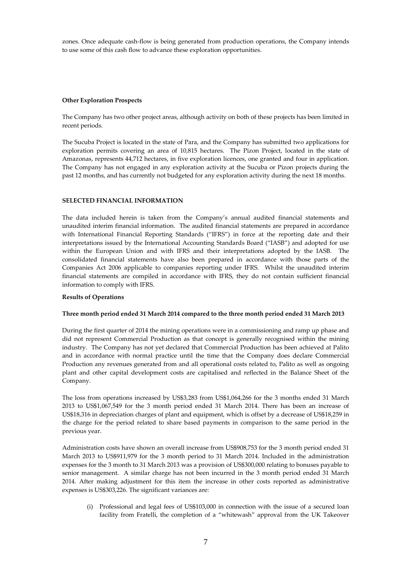zones. Once adequate cash-flow is being generated from production operations, the Company intends to use some of this cash flow to advance these exploration opportunities.

#### **Other Exploration Prospects**

The Company has two other project areas, although activity on both of these projects has been limited in recent periods.

The Sucuba Project is located in the state of Para, and the Company has submitted two applications for exploration permits covering an area of 10,815 hectares. The Pizon Project, located in the state of Amazonas, represents 44,712 hectares, in five exploration licences, one granted and four in application. The Company has not engaged in any exploration activity at the Sucuba or Pizon projects during the past 12 months, and has currently not budgeted for any exploration activity during the next 18 months.

## **SELECTED FINANCIAL INFORMATION**

The data included herein is taken from the Company's annual audited financial statements and unaudited interim financial information. The audited financial statements are prepared in accordance with International Financial Reporting Standards ("IFRS") in force at the reporting date and their interpretations issued by the International Accounting Standards Board ("IASB") and adopted for use within the European Union and with IFRS and their interpretations adopted by the IASB. The consolidated financial statements have also been prepared in accordance with those parts of the Companies Act 2006 applicable to companies reporting under IFRS. Whilst the unaudited interim financial statements are compiled in accordance with IFRS, they do not contain sufficient financial information to comply with IFRS.

#### **Results of Operations**

#### **Three month period ended 31 March 2014 compared to the three month period ended 31 March 2013**

During the first quarter of 2014 the mining operations were in a commissioning and ramp up phase and did not represent Commercial Production as that concept is generally recognised within the mining industry. The Company has not yet declared that Commercial Production has been achieved at Palito and in accordance with normal practice until the time that the Company does declare Commercial Production any revenues generated from and all operational costs related to, Palito as well as ongoing plant and other capital development costs are capitalised and reflected in the Balance Sheet of the Company.

The loss from operations increased by US\$3,283 from US\$1,064,266 for the 3 months ended 31 March 2013 to US\$1,067,549 for the 3 month period ended 31 March 2014. There has been an increase of US\$18,316 in depreciation charges of plant and equipment, which is offset by a decrease of US\$18,259 in the charge for the period related to share based payments in comparison to the same period in the previous year.

Administration costs have shown an overall increase from US\$908,753 for the 3 month period ended 31 March 2013 to US\$911,979 for the 3 month period to 31 March 2014. Included in the administration expenses for the 3 month to 31 March 2013 was a provision of US\$300,000 relating to bonuses payable to senior management. A similar charge has not been incurred in the 3 month period ended 31 March 2014. After making adjustment for this item the increase in other costs reported as administrative expenses is US\$303,226. The significant variances are:

(i) Professional and legal fees of US\$103,000 in connection with the issue of a secured loan facility from Fratelli, the completion of a "whitewash" approval from the UK Takeover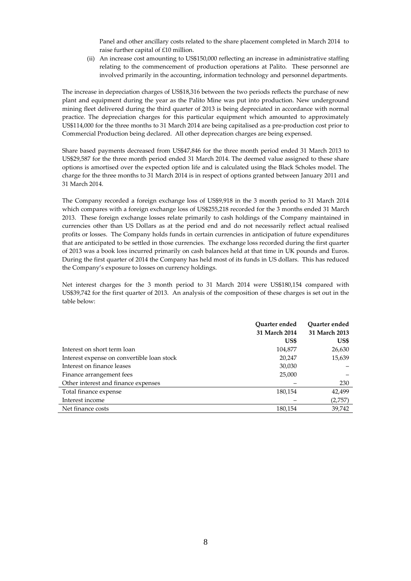Panel and other ancillary costs related to the share placement completed in March 2014 to raise further capital of £10 million.

(ii) An increase cost amounting to US\$150,000 reflecting an increase in administrative staffing relating to the commencement of production operations at Palito. These personnel are involved primarily in the accounting, information technology and personnel departments.

The increase in depreciation charges of US\$18,316 between the two periods reflects the purchase of new plant and equipment during the year as the Palito Mine was put into production. New underground mining fleet delivered during the third quarter of 2013 is being depreciated in accordance with normal practice. The depreciation charges for this particular equipment which amounted to approximately US\$114,000 for the three months to 31 March 2014 are being capitalised as a pre-production cost prior to Commercial Production being declared. All other deprecation charges are being expensed.

Share based payments decreased from US\$47,846 for the three month period ended 31 March 2013 to US\$29,587 for the three month period ended 31 March 2014. The deemed value assigned to these share options is amortised over the expected option life and is calculated using the Black Scholes model. The charge for the three months to 31 March 2014 is in respect of options granted between January 2011 and 31 March 2014.

The Company recorded a foreign exchange loss of US\$9,918 in the 3 month period to 31 March 2014 which compares with a foreign exchange loss of US\$255,218 recorded for the 3 months ended 31 March 2013. These foreign exchange losses relate primarily to cash holdings of the Company maintained in currencies other than US Dollars as at the period end and do not necessarily reflect actual realised profits or losses. The Company holds funds in certain currencies in anticipation of future expenditures that are anticipated to be settled in those currencies. The exchange loss recorded during the first quarter of 2013 was a book loss incurred primarily on cash balances held at that time in UK pounds and Euros. During the first quarter of 2014 the Company has held most of its funds in US dollars. This has reduced the Company's exposure to losses on currency holdings.

Net interest charges for the 3 month period to 31 March 2014 were US\$180,154 compared with US\$39,742 for the first quarter of 2013. An analysis of the composition of these charges is set out in the table below:

|                                            | Ouarter ended<br>31 March 2014 | Ouarter ended<br>31 March 2013 |
|--------------------------------------------|--------------------------------|--------------------------------|
|                                            | US\$                           | US\$                           |
| Interest on short term loan                | 104,877                        | 26,630                         |
| Interest expense on convertible loan stock | 20,247                         | 15,639                         |
| Interest on finance leases                 | 30,030                         |                                |
| Finance arrangement fees                   | 25,000                         |                                |
| Other interest and finance expenses        |                                | 230                            |
| Total finance expense                      | 180,154                        | 42,499                         |
| Interest income                            |                                | (2,757)                        |
| Net finance costs                          | 180,154                        | 39,742                         |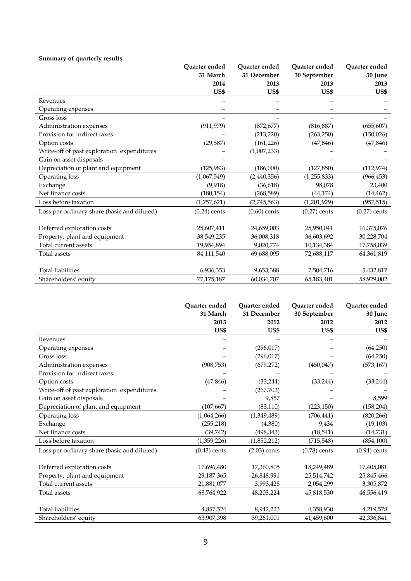## **Summary of quarterly results**

|                                             | Quarter ended  | Quarter ended  | Ouarter ended  | Ouarter ended  |
|---------------------------------------------|----------------|----------------|----------------|----------------|
|                                             | 31 March       | 31 December    | 30 September   | 30 June        |
|                                             | 2014           | 2013           | 2013           | 2013           |
|                                             | US\$           | US\$           | US\$           | US\$           |
| Revenues                                    |                |                |                |                |
| Operating expenses                          |                |                |                |                |
| Gross loss                                  |                |                |                |                |
| Administration expenses                     | (911, 979)     | (872, 677)     | (816, 887)     | (655, 607)     |
| Provision for indirect taxes                |                | (213, 220)     | (263, 250)     | (150, 026)     |
| Option costs                                | (29, 587)      | (161, 226)     | (47, 846)      | (47, 846)      |
| Write-off of past exploration expenditures  |                | (1,007,233)    |                |                |
| Gain on asset disposals                     |                |                |                |                |
| Depreciation of plant and equipment         | (125, 983)     | (186,000)      | (127, 850)     | (112, 974)     |
| Operating loss                              | (1,067,549)    | (2,440,356)    | (1, 255, 833)  | (966, 453)     |
| Exchange                                    | (9,918)        | (36, 618)      | 98,078         | 23,400         |
| Net finance costs                           | (180, 154)     | (268, 589)     | (44, 174)      | (14, 462)      |
| Loss before taxation                        | (1, 257, 621)  | (2,745,563)    | (1,201,929)    | (957, 515)     |
| Loss per ordinary share (basic and diluted) | $(0.24)$ cents | $(0.60)$ cents | $(0.27)$ cents | $(0.27)$ cents |
| Deferred exploration costs                  | 25,607,411     | 24,659,003     | 25,950,041     | 16,375,076     |
| Property, plant and equipment               | 38,549,235     | 36,008,318     | 36,603,692     | 30,228,704     |
| Total current assets                        | 19,954,894     | 9,020,774      | 10,134,384     | 17,758,039     |
| Total assets                                | 84,111,540     | 69,688,095     | 72,688,117     | 64,361,819     |
| <b>Total liabilities</b>                    | 6,936,353      | 9,653,388      | 7,504,716      | 5,432,817      |
| Shareholders' equity                        | 77,175,187     | 60,034,707     | 65,183,401     | 58,929,002     |

|                                             | Ouarter ended  | Ouarter ended  | Ouarter ended  | Quarter ended  |
|---------------------------------------------|----------------|----------------|----------------|----------------|
|                                             | 31 March       | 31 December    | 30 September   | 30 June        |
|                                             | 2013           | 2012           | 2012           | 2012           |
|                                             | US\$           | US\$           | US\$           | US\$           |
| Revenues                                    |                |                |                |                |
| Operating expenses                          |                | (296, 017)     |                | (64,250)       |
| Gross loss                                  |                | (296, 017)     |                | (64,250)       |
| Administration expenses                     | (908, 753)     | (679, 272)     | (450, 047)     | (573, 167)     |
| Provision for indirect taxes                |                |                |                |                |
| Option costs                                | (47, 846)      | (33, 244)      | (33, 244)      | (33, 244)      |
| Write-off of past exploration expenditures  |                | (267, 703)     |                |                |
| Gain on asset disposals                     |                | 9,857          |                | 8,599          |
| Depreciation of plant and equipment         | (107, 667)     | (83, 110)      | (223, 150)     | (158, 204)     |
| Operating loss                              | (1,064,266)    | (1,349,489)    | (706, 441)     | (820, 266)     |
| Exchange                                    | (255, 218)     | (4,380)        | 9,434          | (19, 103)      |
| Net finance costs                           | (39, 742)      | (498, 343)     | (18, 541)      | (14, 731)      |
| Loss before taxation                        | (1,359,226)    | (1,852,212)    | (715, 548)     | (854, 100)     |
| Loss per ordinary share (basic and diluted) | $(0.43)$ cents | $(2.03)$ cents | $(0.78)$ cents | $(0.94)$ cents |
| Deferred exploration costs                  | 17,696,480     | 17,360,805     | 18,249,489     | 17,405,081     |
| Property, plant and equipment               | 29,187,365     | 26,848,991     | 25,514,742     | 25,845,466     |
| Total current assets                        | 21,881,077     | 3,993,428      | 2,054,299      | 3,305,872      |
| Total assets                                | 68,764,922     | 48,203,224     | 45,818,530     | 46,556,419     |
| <b>Total liabilities</b>                    | 4,857,524      | 8,942,223      | 4,358,930      | 4,219,578      |
| Shareholders' equity                        | 63,907,398     | 39,261,001     | 41,459,600     | 42,336,841     |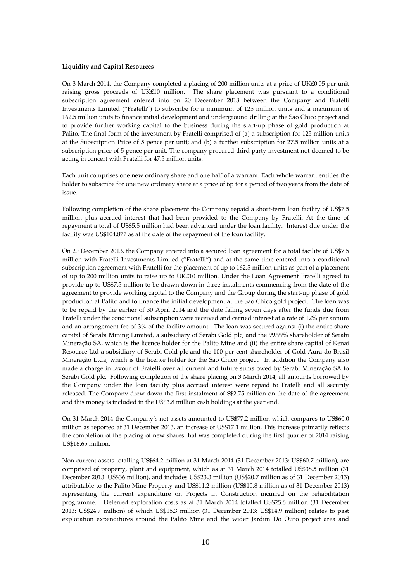#### **Liquidity and Capital Resources**

On 3 March 2014, the Company completed a placing of 200 million units at a price of UK£0.05 per unit raising gross proceeds of UK£10 million. The share placement was pursuant to a conditional subscription agreement entered into on 20 December 2013 between the Company and Fratelli Investments Limited ("Fratelli") to subscribe for a minimum of 125 million units and a maximum of 162.5 million units to finance initial development and underground drilling at the Sao Chico project and to provide further working capital to the business during the start-up phase of gold production at Palito. The final form of the investment by Fratelli comprised of (a) a subscription for 125 million units at the Subscription Price of 5 pence per unit; and (b) a further subscription for 27.5 million units at a subscription price of 5 pence per unit. The company procured third party investment not deemed to be acting in concert with Fratelli for 47.5 million units.

Each unit comprises one new ordinary share and one half of a warrant. Each whole warrant entitles the holder to subscribe for one new ordinary share at a price of 6p for a period of two years from the date of issue.

Following completion of the share placement the Company repaid a short-term loan facility of US\$7.5 million plus accrued interest that had been provided to the Company by Fratelli. At the time of repayment a total of US\$5.5 million had been advanced under the loan facility. Interest due under the facility was US\$104,877 as at the date of the repayment of the loan facility.

On 20 December 2013, the Company entered into a secured loan agreement for a total facility of US\$7.5 million with Fratelli Investments Limited ("Fratelli") and at the same time entered into a conditional subscription agreement with Fratelli for the placement of up to 162.5 million units as part of a placement of up to 200 million units to raise up to UK£10 million. Under the Loan Agreement Fratelli agreed to provide up to US\$7.5 million to be drawn down in three instalments commencing from the date of the agreement to provide working capital to the Company and the Group during the start-up phase of gold production at Palito and to finance the initial development at the Sao Chico gold project. The loan was to be repaid by the earlier of 30 April 2014 and the date falling seven days after the funds due from Fratelli under the conditional subscription were received and carried interest at a rate of 12% per annum and an arrangement fee of 3% of the facility amount. The loan was secured against (i) the entire share capital of Serabi Mining Limited, a subsidiary of Serabi Gold plc, and the 99.99% shareholder of Serabi Mineraçăo SA, which is the licence holder for the Palito Mine and (ii) the entire share capital of Kenai Resource Ltd a subsidiary of Serabi Gold plc and the 100 per cent shareholder of Gold Aura do Brasil Mineraçăo Ltda, which is the licence holder for the Sao Chico project. In addition the Company also made a charge in favour of Fratelli over all current and future sums owed by Serabi Mineraçăo SA to Serabi Gold plc. Following completion of the share placing on 3 March 2014, all amounts borrowed by the Company under the loan facility plus accrued interest were repaid to Fratelli and all security released. The Company drew down the first instalment of S\$2.75 million on the date of the agreement and this money is included in the US\$3.8 million cash holdings at the year end.

On 31 March 2014 the Company's net assets amounted to US\$77.2 million which compares to US\$60.0 million as reported at 31 December 2013, an increase of US\$17.1 million. This increase primarily reflects the completion of the placing of new shares that was completed during the first quarter of 2014 raising US\$16.65 million.

Non-current assets totalling US\$64.2 million at 31 March 2014 (31 December 2013: US\$60.7 million), are comprised of property, plant and equipment, which as at 31 March 2014 totalled US\$38.5 million (31 December 2013: US\$36 million), and includes US\$23.3 million (US\$20.7 million as of 31 December 2013) attributable to the Palito Mine Property and US\$11.2 million (US\$10.8 million as of 31 December 2013) representing the current expenditure on Projects in Construction incurred on the rehabilitation programme. Deferred exploration costs as at 31 March 2014 totalled US\$25.6 million (31 December 2013: US\$24.7 million) of which US\$15.3 million (31 December 2013: US\$14.9 million) relates to past exploration expenditures around the Palito Mine and the wider Jardim Do Ouro project area and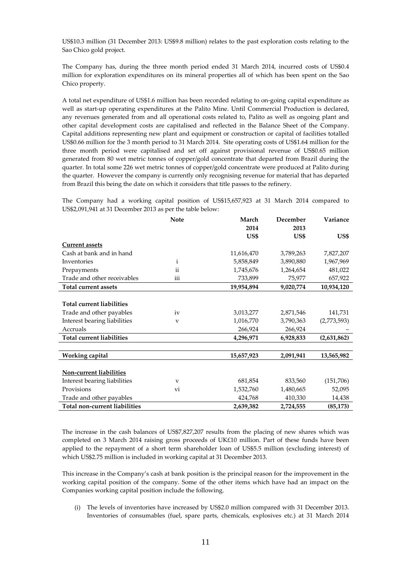US\$10.3 million (31 December 2013: US\$9.8 million) relates to the past exploration costs relating to the Sao Chico gold project.

The Company has, during the three month period ended 31 March 2014, incurred costs of US\$0.4 million for exploration expenditures on its mineral properties all of which has been spent on the Sao Chico property.

A total net expenditure of US\$1.6 million has been recorded relating to on-going capital expenditure as well as start-up operating expenditures at the Palito Mine. Until Commercial Production is declared, any revenues generated from and all operational costs related to, Palito as well as ongoing plant and other capital development costs are capitalised and reflected in the Balance Sheet of the Company. Capital additions representing new plant and equipment or construction or capital of facilities totalled US\$0.66 million for the 3 month period to 31 March 2014. Site operating costs of US\$1.64 million for the three month period were capitalised and set off against provisional revenue of US\$0.65 million generated from 80 wet metric tonnes of copper/gold concentrate that departed from Brazil during the quarter. In total some 226 wet metric tonnes of copper/gold concentrate were produced at Palito during the quarter. However the company is currently only recognising revenue for material that has departed from Brazil this being the date on which it considers that title passes to the refinery.

The Company had a working capital position of US\$15,657,923 at 31 March 2014 compared to US\$2,091,941 at 31 December 2013 as per the table below:

|                                  | <b>Note</b>               | March      | December  | Variance    |
|----------------------------------|---------------------------|------------|-----------|-------------|
|                                  |                           | 2014       | 2013      |             |
|                                  |                           | US\$       | US\$      | US\$        |
| <b>Current assets</b>            |                           |            |           |             |
| Cash at bank and in hand         |                           | 11,616,470 | 3,789,263 | 7,827,207   |
| Inventories                      | i                         | 5,858,849  | 3,890,880 | 1,967,969   |
| Prepayments                      | ii                        | 1,745,676  | 1,264,654 | 481,022     |
| Trade and other receivables      | iii                       | 733,899    | 75,977    | 657,922     |
| <b>Total current assets</b>      |                           | 19,954,894 | 9,020,774 | 10,934,120  |
|                                  |                           |            |           |             |
| <b>Total current liabilities</b> |                           |            |           |             |
| Trade and other payables         | iv                        | 3,013,277  | 2,871,546 | 141,731     |
| Interest bearing liabilities     | $\boldsymbol{\mathrm{v}}$ | 1,016,770  | 3,790,363 | (2,773,593) |
| Accruals                         |                           | 266,924    | 266,924   |             |
| <b>Total current liabilities</b> |                           | 4,296,971  | 6,928,833 | (2,631,862) |
|                                  |                           |            |           |             |
| Working capital                  |                           | 15,657,923 | 2,091,941 | 13,565,982  |
|                                  |                           |            |           |             |
| Non-current liabilities          |                           |            |           |             |
| Interest bearing liabilities     | $\mathbf{V}$              | 681,854    | 833,560   | (151,706)   |
| Provisions                       | vi                        | 1,532,760  | 1,480,665 | 52,095      |
| Trade and other payables         |                           | 424,768    | 410,330   | 14,438      |
| Total non-current liabilities    |                           | 2,639,382  | 2,724,555 | (85, 173)   |

The increase in the cash balances of US\$7,827,207 results from the placing of new shares which was completed on 3 March 2014 raising gross proceeds of UK£10 million. Part of these funds have been applied to the repayment of a short term shareholder loan of US\$5.5 million (excluding interest) of which US\$2.75 million is included in working capital at 31 December 2013.

This increase in the Company's cash at bank position is the principal reason for the improvement in the working capital position of the company. Some of the other items which have had an impact on the Companies working capital position include the following.

(i) The levels of inventories have increased by US\$2.0 million compared with 31 December 2013. Inventories of consumables (fuel, spare parts, chemicals, explosives etc.) at 31 March 2014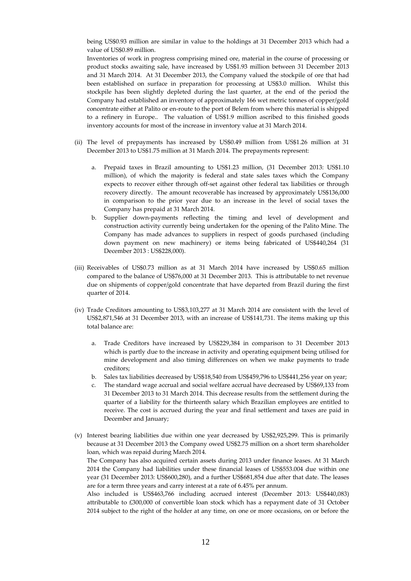being US\$0.93 million are similar in value to the holdings at 31 December 2013 which had a value of US\$0.89 million.

Inventories of work in progress comprising mined ore, material in the course of processing or product stocks awaiting sale, have increased by US\$1.93 million between 31 December 2013 and 31 March 2014. At 31 December 2013, the Company valued the stockpile of ore that had been established on surface in preparation for processing at US\$3.0 million. Whilst this stockpile has been slightly depleted during the last quarter, at the end of the period the Company had established an inventory of approximately 166 wet metric tonnes of copper/gold concentrate either at Palito or en-route to the port of Belem from where this material is shipped to a refinery in Europe.. The valuation of US\$1.9 million ascribed to this finished goods inventory accounts for most of the increase in inventory value at 31 March 2014.

- (ii) The level of prepayments has increased by US\$0.49 million from US\$1.26 million at 31 December 2013 to US\$1.75 million at 31 March 2014. The prepayments represent:
	- a. Prepaid taxes in Brazil amounting to US\$1.23 million, (31 December 2013: US\$1.10 million), of which the majority is federal and state sales taxes which the Company expects to recover either through off-set against other federal tax liabilities or through recovery directly. The amount recoverable has increased by approximately US\$136,000 in comparison to the prior year due to an increase in the level of social taxes the Company has prepaid at 31 March 2014.
	- b. Supplier down-payments reflecting the timing and level of development and construction activity currently being undertaken for the opening of the Palito Mine. The Company has made advances to suppliers in respect of goods purchased (including down payment on new machinery) or items being fabricated of US\$440,264 (31 December 2013 : US\$228,000).
- (iii) Receivables of US\$0.73 million as at 31 March 2014 have increased by US\$0.65 million compared to the balance of US\$76,000 at 31 December 2013. This is attributable to net revenue due on shipments of copper/gold concentrate that have departed from Brazil during the first quarter of 2014.
- (iv) Trade Creditors amounting to US\$3,103,277 at 31 March 2014 are consistent with the level of US\$2,871,546 at 31 December 2013, with an increase of US\$141,731. The items making up this total balance are:
	- a. Trade Creditors have increased by US\$229,384 in comparison to 31 December 2013 which is partly due to the increase in activity and operating equipment being utilised for mine development and also timing differences on when we make payments to trade creditors;
	- b. Sales tax liabilities decreased by US\$18,540 from US\$459,796 to US\$441,256 year on year;
	- c. The standard wage accrual and social welfare accrual have decreased by US\$69,133 from 31 December 2013 to 31 March 2014. This decrease results from the settlement during the quarter of a liability for the thirteenth salary which Brazilian employees are entitled to receive. The cost is accrued during the year and final settlement and taxes are paid in December and January;
- (v) Interest bearing liabilities due within one year decreased by US\$2,925,299. This is primarily because at 31 December 2013 the Company owed US\$2.75 million on a short term shareholder loan, which was repaid during March 2014. The Company has also acquired certain assets during 2013 under finance leases. At 31 March 2014 the Company had liabilities under these financial leases of US\$553.004 due within one year (31 December 2013: US\$600,280), and a further US\$681,854 due after that date. The leases are for a term three years and carry interest at a rate of 6.45% per annum. Also included is US\$463,766 including accrued interest (December 2013: US\$440,083) attributable to £300,000 of convertible loan stock which has a repayment date of 31 October

2014 subject to the right of the holder at any time, on one or more occasions, on or before the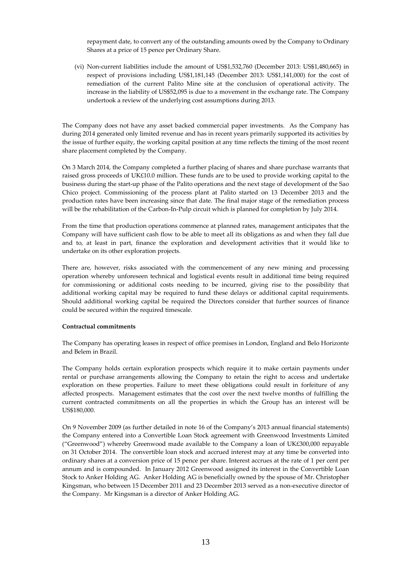repayment date, to convert any of the outstanding amounts owed by the Company to Ordinary Shares at a price of 15 pence per Ordinary Share.

(vi) Non-current liabilities include the amount of US\$1,532,760 (December 2013: US\$1,480,665) in respect of provisions including US\$1,181,145 (December 2013: US\$1,141,000) for the cost of remediation of the current Palito Mine site at the conclusion of operational activity. The increase in the liability of US\$52,095 is due to a movement in the exchange rate. The Company undertook a review of the underlying cost assumptions during 2013.

The Company does not have any asset backed commercial paper investments. As the Company has during 2014 generated only limited revenue and has in recent years primarily supported its activities by the issue of further equity, the working capital position at any time reflects the timing of the most recent share placement completed by the Company.

On 3 March 2014, the Company completed a further placing of shares and share purchase warrants that raised gross proceeds of UK£10.0 million. These funds are to be used to provide working capital to the business during the start-up phase of the Palito operations and the next stage of development of the Sao Chico project. Commissioning of the process plant at Palito started on 13 December 2013 and the production rates have been increasing since that date. The final major stage of the remediation process will be the rehabilitation of the Carbon-In-Pulp circuit which is planned for completion by July 2014.

From the time that production operations commence at planned rates, management anticipates that the Company will have sufficient cash flow to be able to meet all its obligations as and when they fall due and to, at least in part, finance the exploration and development activities that it would like to undertake on its other exploration projects.

There are, however, risks associated with the commencement of any new mining and processing operation whereby unforeseen technical and logistical events result in additional time being required for commissioning or additional costs needing to be incurred, giving rise to the possibility that additional working capital may be required to fund these delays or additional capital requirements. Should additional working capital be required the Directors consider that further sources of finance could be secured within the required timescale.

#### **Contractual commitments**

The Company has operating leases in respect of office premises in London, England and Belo Horizonte and Belem in Brazil.

The Company holds certain exploration prospects which require it to make certain payments under rental or purchase arrangements allowing the Company to retain the right to access and undertake exploration on these properties. Failure to meet these obligations could result in forfeiture of any affected prospects. Management estimates that the cost over the next twelve months of fulfilling the current contracted commitments on all the properties in which the Group has an interest will be US\$180,000.

On 9 November 2009 (as further detailed in note 16 of the Company's 2013 annual financial statements) the Company entered into a Convertible Loan Stock agreement with Greenwood Investments Limited ("Greenwood") whereby Greenwood made available to the Company a loan of UK£300,000 repayable on 31 October 2014. The convertible loan stock and accrued interest may at any time be converted into ordinary shares at a conversion price of 15 pence per share. Interest accrues at the rate of 1 per cent per annum and is compounded. In January 2012 Greenwood assigned its interest in the Convertible Loan Stock to Anker Holding AG. Anker Holding AG is beneficially owned by the spouse of Mr. Christopher Kingsman, who between 15 December 2011 and 23 December 2013 served as a non-executive director of the Company. Mr Kingsman is a director of Anker Holding AG.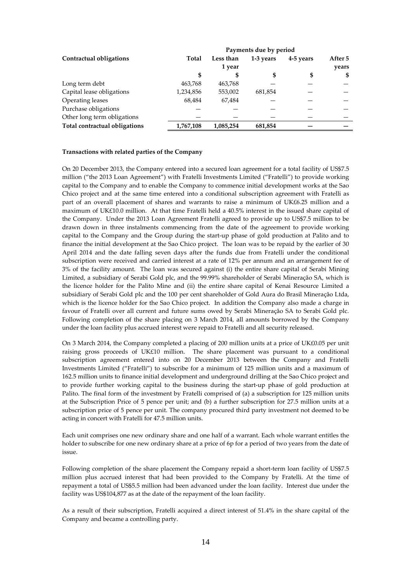|                               |           |           | Payments due by period |           |         |
|-------------------------------|-----------|-----------|------------------------|-----------|---------|
| Contractual obligations       | Total     | Less than | 1-3 years              | 4-5 years | After 5 |
|                               |           | 1 year    |                        |           | years   |
|                               |           |           |                        | \$        | \$      |
| Long term debt                | 463,768   | 463,768   |                        |           |         |
| Capital lease obligations     | 1,234,856 | 553,002   | 681,854                |           |         |
| Operating leases              | 68,484    | 67,484    |                        |           |         |
| Purchase obligations          |           |           |                        |           |         |
| Other long term obligations   |           |           |                        |           |         |
| Total contractual obligations | 1,767,108 | 1,085,254 | 681,854                |           |         |

#### **Transactions with related parties of the Company**

On 20 December 2013, the Company entered into a secured loan agreement for a total facility of US\$7.5 million ("the 2013 Loan Agreement") with Fratelli Investments Limited ("Fratelli") to provide working capital to the Company and to enable the Company to commence initial development works at the Sao Chico project and at the same time entered into a conditional subscription agreement with Fratelli as part of an overall placement of shares and warrants to raise a minimum of UK£6.25 million and a maximum of UK£10.0 million. At that time Fratelli held a 40.5% interest in the issued share capital of the Company. Under the 2013 Loan Agreement Fratelli agreed to provide up to US\$7.5 million to be drawn down in three instalments commencing from the date of the agreement to provide working capital to the Company and the Group during the start-up phase of gold production at Palito and to finance the initial development at the Sao Chico project. The loan was to be repaid by the earlier of 30 April 2014 and the date falling seven days after the funds due from Fratelli under the conditional subscription were received and carried interest at a rate of 12% per annum and an arrangement fee of 3% of the facility amount. The loan was secured against (i) the entire share capital of Serabi Mining Limited, a subsidiary of Serabi Gold plc, and the 99.99% shareholder of Serabi Mineraçăo SA, which is the licence holder for the Palito Mine and (ii) the entire share capital of Kenai Resource Limited a subsidiary of Serabi Gold plc and the 100 per cent shareholder of Gold Aura do Brasil Mineraçăo Ltda, which is the licence holder for the Sao Chico project. In addition the Company also made a charge in favour of Fratelli over all current and future sums owed by Serabi Mineraçăo SA to Serabi Gold plc. Following completion of the share placing on 3 March 2014, all amounts borrowed by the Company under the loan facility plus accrued interest were repaid to Fratelli and all security released.

On 3 March 2014, the Company completed a placing of 200 million units at a price of UK£0.05 per unit raising gross proceeds of UK£10 million. The share placement was pursuant to a conditional subscription agreement entered into on 20 December 2013 between the Company and Fratelli Investments Limited ("Fratelli") to subscribe for a minimum of 125 million units and a maximum of 162.5 million units to finance initial development and underground drilling at the Sao Chico project and to provide further working capital to the business during the start-up phase of gold production at Palito. The final form of the investment by Fratelli comprised of (a) a subscription for 125 million units at the Subscription Price of 5 pence per unit; and (b) a further subscription for 27.5 million units at a subscription price of 5 pence per unit. The company procured third party investment not deemed to be acting in concert with Fratelli for 47.5 million units.

Each unit comprises one new ordinary share and one half of a warrant. Each whole warrant entitles the holder to subscribe for one new ordinary share at a price of 6p for a period of two years from the date of issue.

Following completion of the share placement the Company repaid a short-term loan facility of US\$7.5 million plus accrued interest that had been provided to the Company by Fratelli. At the time of repayment a total of US\$5.5 million had been advanced under the loan facility. Interest due under the facility was US\$104,877 as at the date of the repayment of the loan facility.

As a result of their subscription, Fratelli acquired a direct interest of 51.4% in the share capital of the Company and became a controlling party.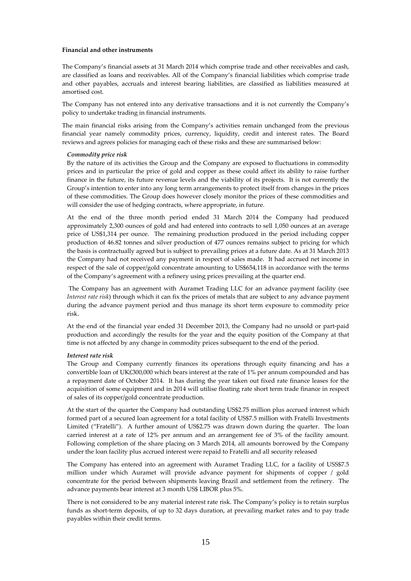#### **Financial and other instruments**

The Company's financial assets at 31 March 2014 which comprise trade and other receivables and cash, are classified as loans and receivables. All of the Company's financial liabilities which comprise trade and other payables, accruals and interest bearing liabilities, are classified as liabilities measured at amortised cost.

The Company has not entered into any derivative transactions and it is not currently the Company's policy to undertake trading in financial instruments.

The main financial risks arising from the Company's activities remain unchanged from the previous financial year namely commodity prices, currency, liquidity, credit and interest rates. The Board reviews and agrees policies for managing each of these risks and these are summarised below:

#### *Commodity price risk*

By the nature of its activities the Group and the Company are exposed to fluctuations in commodity prices and in particular the price of gold and copper as these could affect its ability to raise further finance in the future, its future revenue levels and the viability of its projects. It is not currently the Group's intention to enter into any long term arrangements to protect itself from changes in the prices of these commodities. The Group does however closely monitor the prices of these commodities and will consider the use of hedging contracts, where appropriate, in future.

At the end of the three month period ended 31 March 2014 the Company had produced approximately 2,300 ounces of gold and had entered into contracts to sell 1,050 ounces at an average price of US\$1,314 per ounce. The remaining production produced in the period including copper production of 46.82 tonnes and silver production of 477 ounces remains subject to pricing for which the basis is contractually agreed but is subject to prevailing prices at a future date. As at 31 March 2013 the Company had not received any payment in respect of sales made. It had accrued net income in respect of the sale of copper/gold concentrate amounting to US\$654,118 in accordance with the terms of the Company's agreement with a refinery using prices prevailing at the quarter end.

 The Company has an agreement with Auramet Trading LLC for an advance payment facility (see *Interest rate risk*) through which it can fix the prices of metals that are subject to any advance payment during the advance payment period and thus manage its short term exposure to commodity price risk.

At the end of the financial year ended 31 December 2013, the Company had no unsold or part-paid production and accordingly the results for the year and the equity position of the Company at that time is not affected by any change in commodity prices subsequent to the end of the period.

#### *Interest rate risk*

The Group and Company currently finances its operations through equity financing and has a convertible loan of UK£300,000 which bears interest at the rate of 1% per annum compounded and has a repayment date of October 2014. It has during the year taken out fixed rate finance leases for the acquisition of some equipment and in 2014 will utilise floating rate short term trade finance in respect of sales of its copper/gold concentrate production.

At the start of the quarter the Company had outstanding US\$2.75 million plus accrued interest which formed part of a secured loan agreement for a total facility of US\$7.5 million with Fratelli Investments Limited ("Fratelli"). A further amount of US\$2.75 was drawn down during the quarter. The loan carried interest at a rate of 12% per annum and an arrangement fee of 3% of the facility amount. Following completion of the share placing on 3 March 2014, all amounts borrowed by the Company under the loan facility plus accrued interest were repaid to Fratelli and all security released

The Company has entered into an agreement with Auramet Trading LLC, for a facility of USS\$7.5 million under which Auramet will provide advance payment for shipments of copper / gold concentrate for the period between shipments leaving Brazil and settlement from the refinery. The advance payments bear interest at 3 month US\$ LIBOR plus 5%.

There is not considered to be any material interest rate risk. The Company's policy is to retain surplus funds as short-term deposits, of up to 32 days duration, at prevailing market rates and to pay trade payables within their credit terms.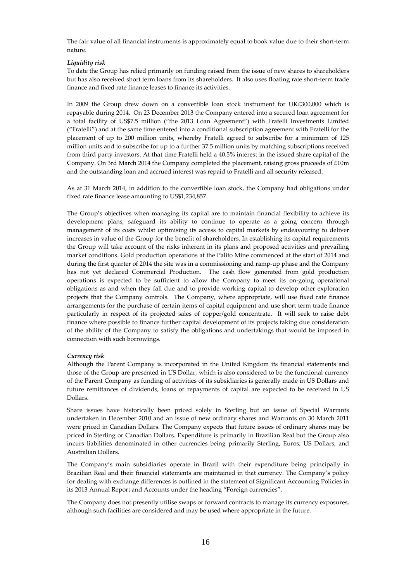The fair value of all financial instruments is approximately equal to book value due to their short-term nature.

## *Liquidity risk*

To date the Group has relied primarily on funding raised from the issue of new shares to shareholders but has also received short term loans from its shareholders. It also uses floating rate short-term trade finance and fixed rate finance leases to finance its activities.

In 2009 the Group drew down on a convertible loan stock instrument for UK£300,000 which is repayable during 2014. On 23 December 2013 the Company entered into a secured loan agreement for a total facility of US\$7.5 million ("the 2013 Loan Agreement") with Fratelli Investments Limited ("Fratelli") and at the same time entered into a conditional subscription agreement with Fratelli for the placement of up to 200 million units, whereby Fratelli agreed to subscribe for a minimum of 125 million units and to subscribe for up to a further 37.5 million units by matching subscriptions received from third party investors. At that time Fratelli held a 40.5% interest in the issued share capital of the Company. On 3rd March 2014 the Company completed the placement, raising gross proceeds of  $£10m$ and the outstanding loan and accrued interest was repaid to Fratelli and all security released.

As at 31 March 2014, in addition to the convertible loan stock, the Company had obligations under fixed rate finance lease amounting to US\$1,234,857.

The Group's objectives when managing its capital are to maintain financial flexibility to achieve its development plans, safeguard its ability to continue to operate as a going concern through management of its costs whilst optimising its access to capital markets by endeavouring to deliver increases in value of the Group for the benefit of shareholders. In establishing its capital requirements the Group will take account of the risks inherent in its plans and proposed activities and prevailing market conditions. Gold production operations at the Palito Mine commenced at the start of 2014 and during the first quarter of 2014 the site was in a commissioning and ramp-up phase and the Company has not yet declared Commercial Production. The cash flow generated from gold production operations is expected to be sufficient to allow the Company to meet its on-going operational obligations as and when they fall due and to provide working capital to develop other exploration projects that the Company controls. The Company, where appropriate, will use fixed rate finance arrangements for the purchase of certain items of capital equipment and use short term trade finance particularly in respect of its projected sales of copper/gold concentrate. It will seek to raise debt finance where possible to finance further capital development of its projects taking due consideration of the ability of the Company to satisfy the obligations and undertakings that would be imposed in connection with such borrowings.

#### *Currency risk*

Although the Parent Company is incorporated in the United Kingdom its financial statements and those of the Group are presented in US Dollar, which is also considered to be the functional currency of the Parent Company as funding of activities of its subsidiaries is generally made in US Dollars and future remittances of dividends, loans or repayments of capital are expected to be received in US Dollars.

Share issues have historically been priced solely in Sterling but an issue of Special Warrants undertaken in December 2010 and an issue of new ordinary shares and Warrants on 30 March 2011 were priced in Canadian Dollars. The Company expects that future issues of ordinary shares may be priced in Sterling or Canadian Dollars. Expenditure is primarily in Brazilian Real but the Group also incurs liabilities denominated in other currencies being primarily Sterling, Euros, US Dollars, and Australian Dollars.

The Company's main subsidiaries operate in Brazil with their expenditure being principally in Brazilian Real and their financial statements are maintained in that currency. The Company's policy for dealing with exchange differences is outlined in the statement of Significant Accounting Policies in its 2013 Annual Report and Accounts under the heading "Foreign currencies".

The Company does not presently utilise swaps or forward contracts to manage its currency exposures, although such facilities are considered and may be used where appropriate in the future.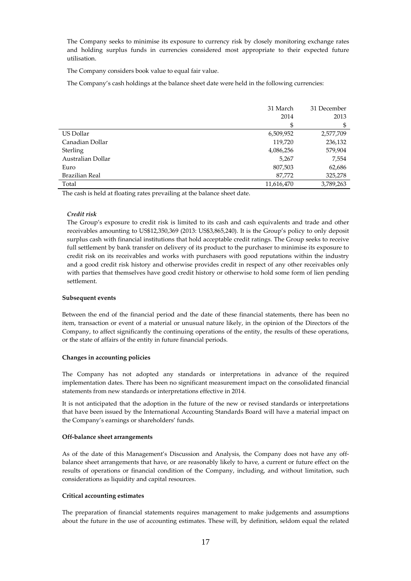The Company seeks to minimise its exposure to currency risk by closely monitoring exchange rates and holding surplus funds in currencies considered most appropriate to their expected future utilisation.

The Company considers book value to equal fair value.

The Company's cash holdings at the balance sheet date were held in the following currencies:

|                   | 31 March   | 31 December |
|-------------------|------------|-------------|
|                   | 2014       | 2013        |
|                   | \$         | \$          |
| US Dollar         | 6,509,952  | 2,577,709   |
| Canadian Dollar   | 119,720    | 236,132     |
| Sterling          | 4,086,256  | 579,904     |
| Australian Dollar | 5,267      | 7,554       |
| Euro              | 807,503    | 62,686      |
| Brazilian Real    | 87,772     | 325,278     |
| Total             | 11,616,470 | 3,789,263   |

The cash is held at floating rates prevailing at the balance sheet date.

## *Credit risk*

The Group's exposure to credit risk is limited to its cash and cash equivalents and trade and other receivables amounting to US\$12,350,369 (2013: US\$3,865,240). It is the Group's policy to only deposit surplus cash with financial institutions that hold acceptable credit ratings. The Group seeks to receive full settlement by bank transfer on delivery of its product to the purchaser to minimise its exposure to credit risk on its receivables and works with purchasers with good reputations within the industry and a good credit risk history and otherwise provides credit in respect of any other receivables only with parties that themselves have good credit history or otherwise to hold some form of lien pending settlement.

#### **Subsequent events**

Between the end of the financial period and the date of these financial statements, there has been no item, transaction or event of a material or unusual nature likely, in the opinion of the Directors of the Company, to affect significantly the continuing operations of the entity, the results of these operations, or the state of affairs of the entity in future financial periods.

#### **Changes in accounting policies**

The Company has not adopted any standards or interpretations in advance of the required implementation dates. There has been no significant measurement impact on the consolidated financial statements from new standards or interpretations effective in 2014.

It is not anticipated that the adoption in the future of the new or revised standards or interpretations that have been issued by the International Accounting Standards Board will have a material impact on the Company's earnings or shareholders' funds.

#### **Off-balance sheet arrangements**

As of the date of this Management's Discussion and Analysis, the Company does not have any offbalance sheet arrangements that have, or are reasonably likely to have, a current or future effect on the results of operations or financial condition of the Company, including, and without limitation, such considerations as liquidity and capital resources.

#### **Critical accounting estimates**

The preparation of financial statements requires management to make judgements and assumptions about the future in the use of accounting estimates. These will, by definition, seldom equal the related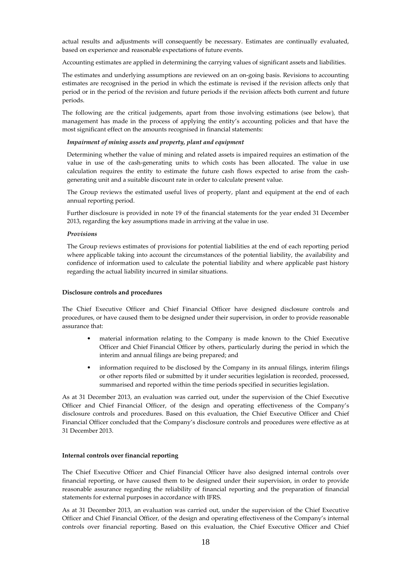actual results and adjustments will consequently be necessary. Estimates are continually evaluated, based on experience and reasonable expectations of future events.

Accounting estimates are applied in determining the carrying values of significant assets and liabilities.

The estimates and underlying assumptions are reviewed on an on-going basis. Revisions to accounting estimates are recognised in the period in which the estimate is revised if the revision affects only that period or in the period of the revision and future periods if the revision affects both current and future periods.

The following are the critical judgements, apart from those involving estimations (see below), that management has made in the process of applying the entity's accounting policies and that have the most significant effect on the amounts recognised in financial statements:

#### *Impairment of mining assets and property, plant and equipment*

Determining whether the value of mining and related assets is impaired requires an estimation of the value in use of the cash-generating units to which costs has been allocated. The value in use calculation requires the entity to estimate the future cash flows expected to arise from the cashgenerating unit and a suitable discount rate in order to calculate present value.

The Group reviews the estimated useful lives of property, plant and equipment at the end of each annual reporting period.

Further disclosure is provided in note 19 of the financial statements for the year ended 31 December 2013, regarding the key assumptions made in arriving at the value in use.

#### *Provisions*

The Group reviews estimates of provisions for potential liabilities at the end of each reporting period where applicable taking into account the circumstances of the potential liability, the availability and confidence of information used to calculate the potential liability and where applicable past history regarding the actual liability incurred in similar situations.

#### **Disclosure controls and procedures**

The Chief Executive Officer and Chief Financial Officer have designed disclosure controls and procedures, or have caused them to be designed under their supervision, in order to provide reasonable assurance that:

- material information relating to the Company is made known to the Chief Executive Officer and Chief Financial Officer by others, particularly during the period in which the interim and annual filings are being prepared; and
- information required to be disclosed by the Company in its annual filings, interim filings or other reports filed or submitted by it under securities legislation is recorded, processed, summarised and reported within the time periods specified in securities legislation.

As at 31 December 2013, an evaluation was carried out, under the supervision of the Chief Executive Officer and Chief Financial Officer, of the design and operating effectiveness of the Company's disclosure controls and procedures. Based on this evaluation, the Chief Executive Officer and Chief Financial Officer concluded that the Company's disclosure controls and procedures were effective as at 31 December 2013.

#### **Internal controls over financial reporting**

The Chief Executive Officer and Chief Financial Officer have also designed internal controls over financial reporting, or have caused them to be designed under their supervision, in order to provide reasonable assurance regarding the reliability of financial reporting and the preparation of financial statements for external purposes in accordance with IFRS.

As at 31 December 2013, an evaluation was carried out, under the supervision of the Chief Executive Officer and Chief Financial Officer, of the design and operating effectiveness of the Company's internal controls over financial reporting. Based on this evaluation, the Chief Executive Officer and Chief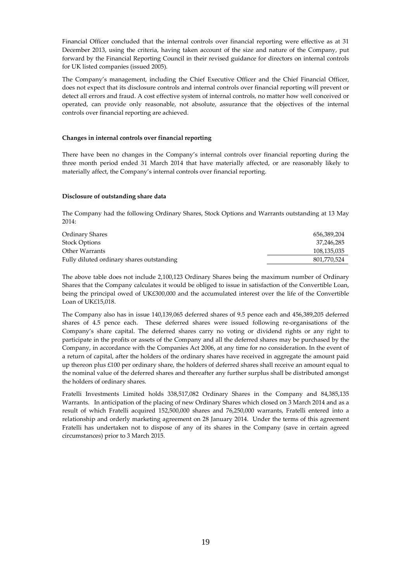Financial Officer concluded that the internal controls over financial reporting were effective as at 31 December 2013, using the criteria, having taken account of the size and nature of the Company, put forward by the Financial Reporting Council in their revised guidance for directors on internal controls for UK listed companies (issued 2005).

The Company's management, including the Chief Executive Officer and the Chief Financial Officer, does not expect that its disclosure controls and internal controls over financial reporting will prevent or detect all errors and fraud. A cost effective system of internal controls, no matter how well conceived or operated, can provide only reasonable, not absolute, assurance that the objectives of the internal controls over financial reporting are achieved.

## **Changes in internal controls over financial reporting**

There have been no changes in the Company's internal controls over financial reporting during the three month period ended 31 March 2014 that have materially affected, or are reasonably likely to materially affect, the Company's internal controls over financial reporting.

#### **Disclosure of outstanding share data**

The Company had the following Ordinary Shares, Stock Options and Warrants outstanding at 13 May 2014:

| Ordinary Shares                           | 656,389,204 |
|-------------------------------------------|-------------|
| <b>Stock Options</b>                      | 37,246,285  |
| Other Warrants                            | 108,135,035 |
| Fully diluted ordinary shares outstanding | 801,770,524 |

The above table does not include 2,100,123 Ordinary Shares being the maximum number of Ordinary Shares that the Company calculates it would be obliged to issue in satisfaction of the Convertible Loan, being the principal owed of UK£300,000 and the accumulated interest over the life of the Convertible Loan of UK£15,018.

The Company also has in issue 140,139,065 deferred shares of 9.5 pence each and 456,389,205 deferred shares of 4.5 pence each. These deferred shares were issued following re-organisations of the Company's share capital. The deferred shares carry no voting or dividend rights or any right to participate in the profits or assets of the Company and all the deferred shares may be purchased by the Company, in accordance with the Companies Act 2006, at any time for no consideration. In the event of a return of capital, after the holders of the ordinary shares have received in aggregate the amount paid up thereon plus £100 per ordinary share, the holders of deferred shares shall receive an amount equal to the nominal value of the deferred shares and thereafter any further surplus shall be distributed amongst the holders of ordinary shares.

Fratelli Investments Limited holds 338,517,082 Ordinary Shares in the Company and 84,385,135 Warrants. In anticipation of the placing of new Ordinary Shares which closed on 3 March 2014 and as a result of which Fratelli acquired 152,500,000 shares and 76,250,000 warrants, Fratelli entered into a relationship and orderly marketing agreement on 28 January 2014. Under the terms of this agreement Fratelli has undertaken not to dispose of any of its shares in the Company (save in certain agreed circumstances) prior to 3 March 2015.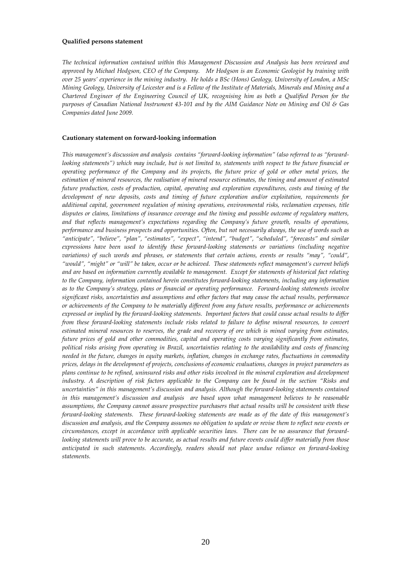#### **Qualified persons statement**

*The technical information contained within this Management Discussion and Analysis has been reviewed and approved by Michael Hodgson, CEO of the Company. Mr Hodgson is an Economic Geologist by training with over 25 years' experience in the mining industry. He holds a BSc (Hons) Geology, University of London, a MSc Mining Geology, University of Leicester and is a Fellow of the Institute of Materials, Minerals and Mining and a Chartered Engineer of the Engineering Council of UK, recognising him as both a Qualified Person for the purposes of Canadian National Instrument 43-101 and by the AIM Guidance Note on Mining and Oil & Gas Companies dated June 2009.* 

#### **Cautionary statement on forward-looking information**

*This management's discussion and analysis contains "forward-looking information" (also referred to as "forwardlooking statements") which may include, but is not limited to, statements with respect to the future financial or operating performance of the Company and its projects, the future price of gold or other metal prices, the estimation of mineral resources, the realisation of mineral resource estimates, the timing and amount of estimated future production, costs of production, capital, operating and exploration expenditures, costs and timing of the development of new deposits, costs and timing of future exploration and/or exploitation, requirements for additional capital, government regulation of mining operations, environmental risks, reclamation expenses, title disputes or claims, limitations of insurance coverage and the timing and possible outcome of regulatory matters, and that reflects management's expectations regarding the Company's future growth, results of operations, performance and business prospects and opportunities. Often, but not necessarily always, the use of words such as "anticipate", "believe", "plan", "estimates", "expect", "intend", "budget", "scheduled", "forecasts" and similar expressions have been used to identify these forward-looking statements or variations (including negative variations) of such words and phrases, or statements that certain actions, events or results "may", "could", "would", "might" or "will" be taken, occur or be achieved. These statements reflect management's current beliefs and are based on information currently available to management. Except for statements of historical fact relating to the Company, information contained herein constitutes forward-looking statements, including any information as to the Company's strategy, plans or financial or operating performance. Forward-looking statements involve significant risks, uncertainties and assumptions and other factors that may cause the actual results, performance or achievements of the Company to be materially different from any future results, performance or achievements expressed or implied by the forward-looking statements. Important factors that could cause actual results to differ from these forward-looking statements include risks related to failure to define mineral resources, to convert estimated mineral resources to reserves, the grade and recovery of ore which is mined varying from estimates, future prices of gold and other commodities, capital and operating costs varying significantly from estimates, political risks arising from operating in Brazil, uncertainties relating to the availability and costs of financing needed in the future, changes in equity markets, inflation, changes in exchange rates, fluctuations in commodity prices, delays in the development of projects, conclusions of economic evaluations, changes in project parameters as plans continue to be refined, uninsured risks and other risks involved in the mineral exploration and development industry. A description of risk factors applicable to the Company can be found in the section "Risks and uncertainties" in this management's discussion and analysis. Although the forward-looking statements contained in this management's discussion and analysis are based upon what management believes to be reasonable assumptions, the Company cannot assure prospective purchasers that actual results will be consistent with these forward-looking statements. These forward-looking statements are made as of the date of this management's discussion and analysis, and the Company assumes no obligation to update or revise them to reflect new events or circumstances, except in accordance with applicable securities laws. There can be no assurance that forwardlooking statements will prove to be accurate, as actual results and future events could differ materially from those anticipated in such statements. Accordingly, readers should not place undue reliance on forward-looking statements.*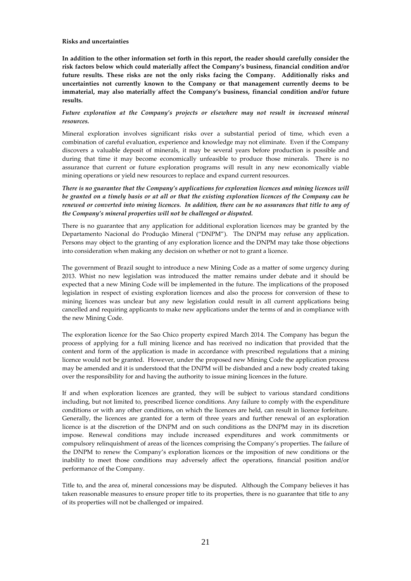#### **Risks and uncertainties**

**In addition to the other information set forth in this report, the reader should carefully consider the risk factors below which could materially affect the Company's business, financial condition and/or future results. These risks are not the only risks facing the Company. Additionally risks and uncertainties not currently known to the Company or that management currently deems to be immaterial, may also materially affect the Company's business, financial condition and/or future results.** 

## *Future exploration at the Company's projects or elsewhere may not result in increased mineral resources.*

Mineral exploration involves significant risks over a substantial period of time, which even a combination of careful evaluation, experience and knowledge may not eliminate. Even if the Company discovers a valuable deposit of minerals, it may be several years before production is possible and during that time it may become economically unfeasible to produce those minerals. There is no assurance that current or future exploration programs will result in any new economically viable mining operations or yield new resources to replace and expand current resources.

*There is no guarantee that the Company's applications for exploration licences and mining licences will be granted on a timely basis or at all or that the existing exploration licences of the Company can be renewed or converted into mining licences. In addition, there can be no assurances that title to any of the Company's mineral properties will not be challenged or disputed.* 

There is no guarantee that any application for additional exploration licences may be granted by the Departamento Nacional do Produçăo Mineral ("DNPM"). The DNPM may refuse any application. Persons may object to the granting of any exploration licence and the DNPM may take those objections into consideration when making any decision on whether or not to grant a licence.

The government of Brazil sought to introduce a new Mining Code as a matter of some urgency during 2013. Whist no new legislation was introduced the matter remains under debate and it should be expected that a new Mining Code will be implemented in the future. The implications of the proposed legislation in respect of existing exploration licences and also the process for conversion of these to mining licences was unclear but any new legislation could result in all current applications being cancelled and requiring applicants to make new applications under the terms of and in compliance with the new Mining Code.

The exploration licence for the Sao Chico property expired March 2014. The Company has begun the process of applying for a full mining licence and has received no indication that provided that the content and form of the application is made in accordance with prescribed regulations that a mining licence would not be granted. However, under the proposed new Mining Code the application process may be amended and it is understood that the DNPM will be disbanded and a new body created taking over the responsibility for and having the authority to issue mining licences in the future.

If and when exploration licences are granted, they will be subject to various standard conditions including, but not limited to, prescribed licence conditions. Any failure to comply with the expenditure conditions or with any other conditions, on which the licences are held, can result in licence forfeiture. Generally, the licences are granted for a term of three years and further renewal of an exploration licence is at the discretion of the DNPM and on such conditions as the DNPM may in its discretion impose. Renewal conditions may include increased expenditures and work commitments or compulsory relinquishment of areas of the licences comprising the Company's properties. The failure of the DNPM to renew the Company's exploration licences or the imposition of new conditions or the inability to meet those conditions may adversely affect the operations, financial position and/or performance of the Company.

Title to, and the area of, mineral concessions may be disputed. Although the Company believes it has taken reasonable measures to ensure proper title to its properties, there is no guarantee that title to any of its properties will not be challenged or impaired.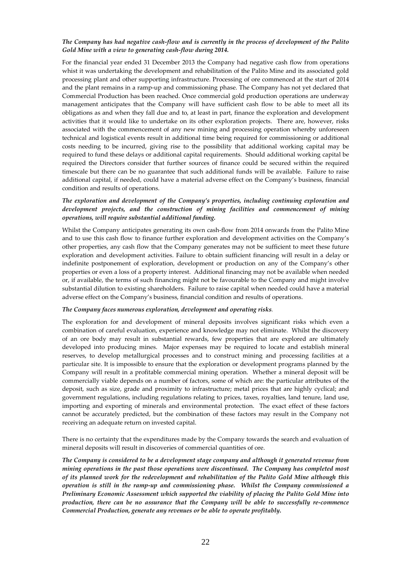## *The Company has had negative cash-flow and is currently in the process of development of the Palito Gold Mine with a view to generating cash-flow during 2014.*

For the financial year ended 31 December 2013 the Company had negative cash flow from operations whist it was undertaking the development and rehabilitation of the Palito Mine and its associated gold processing plant and other supporting infrastructure. Processing of ore commenced at the start of 2014 and the plant remains in a ramp-up and commissioning phase. The Company has not yet declared that Commercial Production has been reached. Once commercial gold production operations are underway management anticipates that the Company will have sufficient cash flow to be able to meet all its obligations as and when they fall due and to, at least in part, finance the exploration and development activities that it would like to undertake on its other exploration projects. There are, however, risks associated with the commencement of any new mining and processing operation whereby unforeseen technical and logistical events result in additional time being required for commissioning or additional costs needing to be incurred, giving rise to the possibility that additional working capital may be required to fund these delays or additional capital requirements. Should additional working capital be required the Directors consider that further sources of finance could be secured within the required timescale but there can be no guarantee that such additional funds will be available. Failure to raise additional capital, if needed, could have a material adverse effect on the Company's business, financial condition and results of operations.

## *The exploration and development of the Company's properties, including continuing exploration and development projects, and the construction of mining facilities and commencement of mining operations, will require substantial additional funding.*

Whilst the Company anticipates generating its own cash-flow from 2014 onwards from the Palito Mine and to use this cash flow to finance further exploration and development activities on the Company's other properties, any cash flow that the Company generates may not be sufficient to meet these future exploration and development activities. Failure to obtain sufficient financing will result in a delay or indefinite postponement of exploration, development or production on any of the Company's other properties or even a loss of a property interest. Additional financing may not be available when needed or, if available, the terms of such financing might not be favourable to the Company and might involve substantial dilution to existing shareholders. Failure to raise capital when needed could have a material adverse effect on the Company's business, financial condition and results of operations.

#### *The Company faces numerous exploration, development and operating risks.*

The exploration for and development of mineral deposits involves significant risks which even a combination of careful evaluation, experience and knowledge may not eliminate. Whilst the discovery of an ore body may result in substantial rewards, few properties that are explored are ultimately developed into producing mines. Major expenses may be required to locate and establish mineral reserves, to develop metallurgical processes and to construct mining and processing facilities at a particular site. It is impossible to ensure that the exploration or development programs planned by the Company will result in a profitable commercial mining operation. Whether a mineral deposit will be commercially viable depends on a number of factors, some of which are: the particular attributes of the deposit, such as size, grade and proximity to infrastructure; metal prices that are highly cyclical; and government regulations, including regulations relating to prices, taxes, royalties, land tenure, land use, importing and exporting of minerals and environmental protection. The exact effect of these factors cannot be accurately predicted, but the combination of these factors may result in the Company not receiving an adequate return on invested capital.

There is no certainty that the expenditures made by the Company towards the search and evaluation of mineral deposits will result in discoveries of commercial quantities of ore.

*The Company is considered to be a development stage company and although it generated revenue from mining operations in the past those operations were discontinued. The Company has completed most of its planned work for the redevelopment and rehabilitation of the Palito Gold Mine although this operation is still in the ramp-up and commissioning phase. Whilst the Company commissioned a Preliminary Economic Assessment which supported the viability of placing the Palito Gold Mine into production, there can be no assurance that the Company will be able to successfully re-commence Commercial Production, generate any revenues or be able to operate profitably.*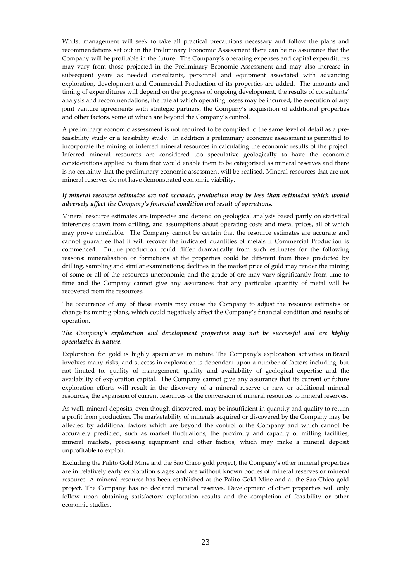Whilst management will seek to take all practical precautions necessary and follow the plans and recommendations set out in the Preliminary Economic Assessment there can be no assurance that the Company will be profitable in the future. The Company's operating expenses and capital expenditures may vary from those projected in the Preliminary Economic Assessment and may also increase in subsequent years as needed consultants, personnel and equipment associated with advancing exploration, development and Commercial Production of its properties are added. The amounts and timing of expenditures will depend on the progress of ongoing development, the results of consultants' analysis and recommendations, the rate at which operating losses may be incurred, the execution of any joint venture agreements with strategic partners, the Company's acquisition of additional properties and other factors, some of which are beyond the Company's control.

A preliminary economic assessment is not required to be compiled to the same level of detail as a prefeasibility study or a feasibility study. In addition a preliminary economic assessment is permitted to incorporate the mining of inferred mineral resources in calculating the economic results of the project. Inferred mineral resources are considered too speculative geologically to have the economic considerations applied to them that would enable them to be categorised as mineral reserves and there is no certainty that the preliminary economic assessment will be realised. Mineral resources that are not mineral reserves do not have demonstrated economic viability.

## *If mineral resource estimates are not accurate, production may be less than estimated which would adversely affect the Company's financial condition and result of operations.*

Mineral resource estimates are imprecise and depend on geological analysis based partly on statistical inferences drawn from drilling, and assumptions about operating costs and metal prices, all of which may prove unreliable. The Company cannot be certain that the resource estimates are accurate and cannot guarantee that it will recover the indicated quantities of metals if Commercial Production is commenced. Future production could differ dramatically from such estimates for the following reasons: mineralisation or formations at the properties could be different from those predicted by drilling, sampling and similar examinations; declines in the market price of gold may render the mining of some or all of the resources uneconomic; and the grade of ore may vary significantly from time to time and the Company cannot give any assurances that any particular quantity of metal will be recovered from the resources.

The occurrence of any of these events may cause the Company to adjust the resource estimates or change its mining plans, which could negatively affect the Company's financial condition and results of operation.

## *The Company's exploration and development properties may not be successful and are highly speculative in nature.*

Exploration for gold is highly speculative in nature. The Company's exploration activities in Brazil involves many risks, and success in exploration is dependent upon a number of factors including, but not limited to, quality of management, quality and availability of geological expertise and the availability of exploration capital. The Company cannot give any assurance that its current or future exploration efforts will result in the discovery of a mineral reserve or new or additional mineral resources, the expansion of current resources or the conversion of mineral resources to mineral reserves.

As well, mineral deposits, even though discovered, may be insufficient in quantity and quality to return a profit from production. The marketability of minerals acquired or discovered by the Company may be affected by additional factors which are beyond the control of the Company and which cannot be accurately predicted, such as market fluctuations, the proximity and capacity of milling facilities, mineral markets, processing equipment and other factors, which may make a mineral deposit unprofitable to exploit.

Excluding the Palito Gold Mine and the Sao Chico gold project, the Company's other mineral properties are in relatively early exploration stages and are without known bodies of mineral reserves or mineral resource. A mineral resource has been established at the Palito Gold Mine and at the Sao Chico gold project. The Company has no declared mineral reserves. Development of other properties will only follow upon obtaining satisfactory exploration results and the completion of feasibility or other economic studies.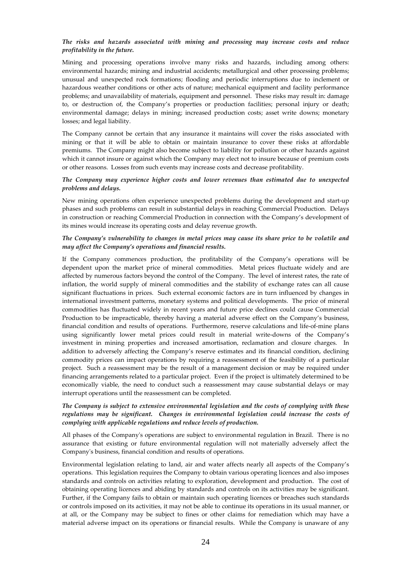## *The risks and hazards associated with mining and processing may increase costs and reduce profitability in the future.*

Mining and processing operations involve many risks and hazards, including among others: environmental hazards; mining and industrial accidents; metallurgical and other processing problems; unusual and unexpected rock formations; flooding and periodic interruptions due to inclement or hazardous weather conditions or other acts of nature; mechanical equipment and facility performance problems; and unavailability of materials, equipment and personnel. These risks may result in: damage to, or destruction of, the Company's properties or production facilities; personal injury or death; environmental damage; delays in mining; increased production costs; asset write downs; monetary losses; and legal liability.

The Company cannot be certain that any insurance it maintains will cover the risks associated with mining or that it will be able to obtain or maintain insurance to cover these risks at affordable premiums. The Company might also become subject to liability for pollution or other hazards against which it cannot insure or against which the Company may elect not to insure because of premium costs or other reasons. Losses from such events may increase costs and decrease profitability.

## *The Company may experience higher costs and lower revenues than estimated due to unexpected problems and delays.*

New mining operations often experience unexpected problems during the development and start-up phases and such problems can result in substantial delays in reaching Commercial Production. Delays in construction or reaching Commercial Production in connection with the Company's development of its mines would increase its operating costs and delay revenue growth.

## *The Company's vulnerability to changes in metal prices may cause its share price to be volatile and may affect the Company's operations and financial results.*

If the Company commences production, the profitability of the Company's operations will be dependent upon the market price of mineral commodities. Metal prices fluctuate widely and are affected by numerous factors beyond the control of the Company. The level of interest rates, the rate of inflation, the world supply of mineral commodities and the stability of exchange rates can all cause significant fluctuations in prices. Such external economic factors are in turn influenced by changes in international investment patterns, monetary systems and political developments. The price of mineral commodities has fluctuated widely in recent years and future price declines could cause Commercial Production to be impracticable, thereby having a material adverse effect on the Company's business, financial condition and results of operations. Furthermore, reserve calculations and life-of-mine plans using significantly lower metal prices could result in material write-downs of the Company's investment in mining properties and increased amortisation, reclamation and closure charges. In addition to adversely affecting the Company's reserve estimates and its financial condition, declining commodity prices can impact operations by requiring a reassessment of the feasibility of a particular project. Such a reassessment may be the result of a management decision or may be required under financing arrangements related to a particular project. Even if the project is ultimately determined to be economically viable, the need to conduct such a reassessment may cause substantial delays or may interrupt operations until the reassessment can be completed.

## *The Company is subject to extensive environmental legislation and the costs of complying with these regulations may be significant. Changes in environmental legislation could increase the costs of complying with applicable regulations and reduce levels of production.*

All phases of the Company's operations are subject to environmental regulation in Brazil. There is no assurance that existing or future environmental regulation will not materially adversely affect the Company's business, financial condition and results of operations.

Environmental legislation relating to land, air and water affects nearly all aspects of the Company's operations. This legislation requires the Company to obtain various operating licences and also imposes standards and controls on activities relating to exploration, development and production. The cost of obtaining operating licences and abiding by standards and controls on its activities may be significant. Further, if the Company fails to obtain or maintain such operating licences or breaches such standards or controls imposed on its activities, it may not be able to continue its operations in its usual manner, or at all, or the Company may be subject to fines or other claims for remediation which may have a material adverse impact on its operations or financial results. While the Company is unaware of any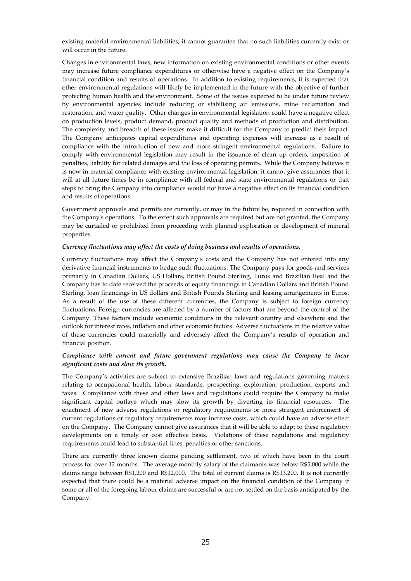existing material environmental liabilities, it cannot guarantee that no such liabilities currently exist or will occur in the future.

Changes in environmental laws, new information on existing environmental conditions or other events may increase future compliance expenditures or otherwise have a negative effect on the Company's financial condition and results of operations. In addition to existing requirements, it is expected that other environmental regulations will likely be implemented in the future with the objective of further protecting human health and the environment. Some of the issues expected to be under future review by environmental agencies include reducing or stabilising air emissions, mine reclamation and restoration, and water quality. Other changes in environmental legislation could have a negative effect on production levels, product demand, product quality and methods of production and distribution. The complexity and breadth of these issues make it difficult for the Company to predict their impact. The Company anticipates capital expenditures and operating expenses will increase as a result of compliance with the introduction of new and more stringent environmental regulations. Failure to comply with environmental legislation may result in the issuance of clean up orders, imposition of penalties, liability for related damages and the loss of operating permits. While the Company believes it is now in material compliance with existing environmental legislation, it cannot give assurances that it will at all future times be in compliance with all federal and state environmental regulations or that steps to bring the Company into compliance would not have a negative effect on its financial condition and results of operations.

Government approvals and permits are currently, or may in the future be, required in connection with the Company's operations. To the extent such approvals are required but are not granted, the Company may be curtailed or prohibited from proceeding with planned exploration or development of mineral properties.

## *Currency fluctuations may affect the costs of doing business and results of operations.*

Currency fluctuations may affect the Company's costs and the Company has not entered into any derivative financial instruments to hedge such fluctuations. The Company pays for goods and services primarily in Canadian Dollars, US Dollars, British Pound Sterling, Euros and Brazilian Real and the Company has to date received the proceeds of equity financings in Canadian Dollars and British Pound Sterling, loan financings in US dollars and British Pounds Sterling and leasing arrangements in Euros. As a result of the use of these different currencies, the Company is subject to foreign currency fluctuations. Foreign currencies are affected by a number of factors that are beyond the control of the Company. These factors include economic conditions in the relevant country and elsewhere and the outlook for interest rates, inflation and other economic factors. Adverse fluctuations in the relative value of these currencies could materially and adversely affect the Company's results of operation and financial position.

## *Compliance with current and future government regulations may cause the Company to incur significant costs and slow its growth.*

The Company's activities are subject to extensive Brazilian laws and regulations governing matters relating to occupational health, labour standards, prospecting, exploration, production, exports and taxes. Compliance with these and other laws and regulations could require the Company to make significant capital outlays which may slow its growth by diverting its financial resources. The enactment of new adverse regulations or regulatory requirements or more stringent enforcement of current regulations or regulatory requirements may increase costs, which could have an adverse effect on the Company. The Company cannot give assurances that it will be able to adapt to these regulatory developments on a timely or cost effective basis. Violations of these regulations and regulatory requirements could lead to substantial fines, penalties or other sanctions.

There are currently three known claims pending settlement, two of which have been in the court process for over 12 months. The average monthly salary of the claimants was below R\$5,000 while the claims range between R\$1,200 and R\$12,000. The total of current claims is R\$13,200. It is not currently expected that there could be a material adverse impact on the financial condition of the Company if some or all of the foregoing labour claims are successful or are not settled on the basis anticipated by the Company.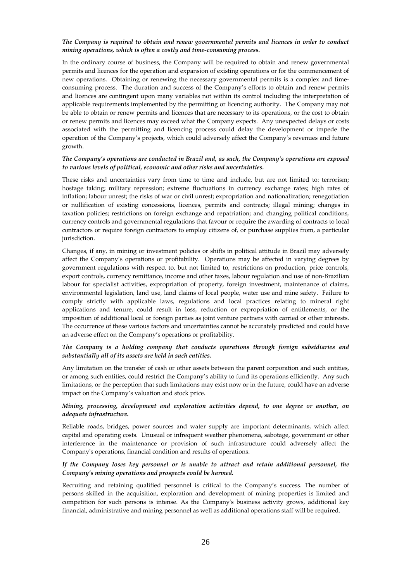## *The Company is required to obtain and renew governmental permits and licences in order to conduct mining operations, which is often a costly and time-consuming process.*

In the ordinary course of business, the Company will be required to obtain and renew governmental permits and licences for the operation and expansion of existing operations or for the commencement of new operations. Obtaining or renewing the necessary governmental permits is a complex and timeconsuming process. The duration and success of the Company's efforts to obtain and renew permits and licences are contingent upon many variables not within its control including the interpretation of applicable requirements implemented by the permitting or licencing authority. The Company may not be able to obtain or renew permits and licences that are necessary to its operations, or the cost to obtain or renew permits and licences may exceed what the Company expects. Any unexpected delays or costs associated with the permitting and licencing process could delay the development or impede the operation of the Company's projects, which could adversely affect the Company's revenues and future growth.

#### *The Company's operations are conducted in Brazil and, as such, the Company's operations are exposed to various levels of political, economic and other risks and uncertainties.*

These risks and uncertainties vary from time to time and include, but are not limited to: terrorism; hostage taking; military repression; extreme fluctuations in currency exchange rates; high rates of inflation; labour unrest; the risks of war or civil unrest; expropriation and nationalization; renegotiation or nullification of existing concessions, licences, permits and contracts; illegal mining; changes in taxation policies; restrictions on foreign exchange and repatriation; and changing political conditions, currency controls and governmental regulations that favour or require the awarding of contracts to local contractors or require foreign contractors to employ citizens of, or purchase supplies from, a particular jurisdiction.

Changes, if any, in mining or investment policies or shifts in political attitude in Brazil may adversely affect the Company's operations or profitability. Operations may be affected in varying degrees by government regulations with respect to, but not limited to, restrictions on production, price controls, export controls, currency remittance, income and other taxes, labour regulation and use of non-Brazilian labour for specialist activities, expropriation of property, foreign investment, maintenance of claims, environmental legislation, land use, land claims of local people, water use and mine safety. Failure to comply strictly with applicable laws, regulations and local practices relating to mineral right applications and tenure, could result in loss, reduction or expropriation of entitlements, or the imposition of additional local or foreign parties as joint venture partners with carried or other interests. The occurrence of these various factors and uncertainties cannot be accurately predicted and could have an adverse effect on the Company's operations or profitability.

## *The Company is a holding company that conducts operations through foreign subsidiaries and substantially all of its assets are held in such entities.*

Any limitation on the transfer of cash or other assets between the parent corporation and such entities, or among such entities, could restrict the Company's ability to fund its operations efficiently. Any such limitations, or the perception that such limitations may exist now or in the future, could have an adverse impact on the Company's valuation and stock price.

## *Mining, processing, development and exploration activities depend, to one degree or another, on adequate infrastructure.*

Reliable roads, bridges, power sources and water supply are important determinants, which affect capital and operating costs. Unusual or infrequent weather phenomena, sabotage, government or other interference in the maintenance or provision of such infrastructure could adversely affect the Company's operations, financial condition and results of operations.

## *If the Company loses key personnel or is unable to attract and retain additional personnel, the Company's mining operations and prospects could be harmed.*

Recruiting and retaining qualified personnel is critical to the Company's success. The number of persons skilled in the acquisition, exploration and development of mining properties is limited and competition for such persons is intense. As the Company's business activity grows, additional key financial, administrative and mining personnel as well as additional operations staff will be required.